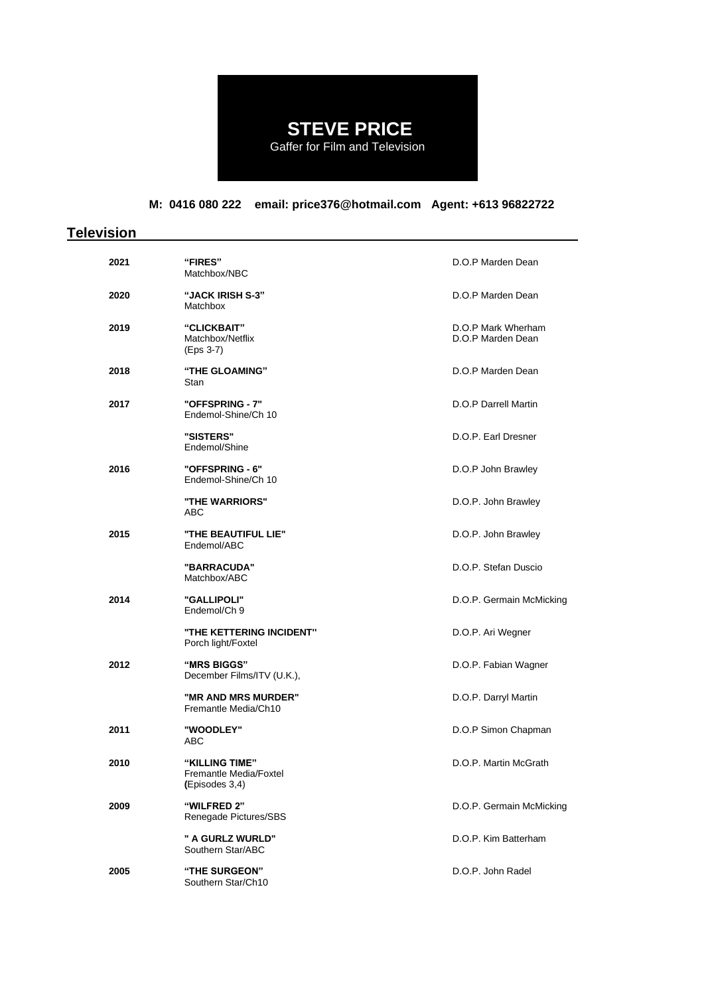# **STEVE PRICE**

Gaffer for Film and Television

## **M: 0416 080 222 email: price376@hotmail.com Agent: +613 96822722**

## **Television**

| 2021 | <b>"FIRES"</b><br>Matchbox/NBC                             | D.O.P Marden Dean                       |
|------|------------------------------------------------------------|-----------------------------------------|
| 2020 | "JACK IRISH S-3"<br>Matchbox                               | D.O.P Marden Dean                       |
| 2019 | "CLICKBAIT"<br>Matchbox/Netflix<br>(Eps 3-7)               | D.O.P Mark Wherham<br>D.O.P Marden Dean |
| 2018 | "THE GLOAMING"<br>Stan                                     | D.O.P Marden Dean                       |
| 2017 | "OFFSPRING - 7"<br>Endemol-Shine/Ch 10                     | D.O.P Darrell Martin                    |
|      | "SISTERS"<br>Endemol/Shine                                 | D.O.P. Earl Dresner                     |
| 2016 | "OFFSPRING - 6"<br>Endemol-Shine/Ch 10                     | D.O.P John Brawley                      |
|      | "THE WARRIORS"<br>ABC                                      | D.O.P. John Brawley                     |
| 2015 | "THE BEAUTIFUL LIE"<br>Endemol/ABC                         | D.O.P. John Brawley                     |
|      | "BARRACUDA"<br>Matchbox/ABC                                | D.O.P. Stefan Duscio                    |
| 2014 | <b>"GALLIPOLI"</b><br>Endemol/Ch 9                         | D.O.P. Germain McMicking                |
|      | "THE KETTERING INCIDENT"<br>Porch light/Foxtel             | D.O.P. Ari Wegner                       |
| 2012 | "MRS BIGGS"<br>December Films/ITV (U.K.),                  | D.O.P. Fabian Wagner                    |
|      | "MR AND MRS MURDER"<br>Fremantle Media/Ch10                | D.O.P. Darryl Martin                    |
| 2011 | "WOODLEY"<br>ABC                                           | D.O.P Simon Chapman                     |
| 2010 | "KILLING TIME"<br>Fremantle Media/Foxtel<br>(Episodes 3,4) | D.O.P. Martin McGrath                   |
| 2009 | "WILFRED 2"<br>Renegade Pictures/SBS                       | D.O.P. Germain McMicking                |
|      | " A GURLZ WURLD"<br>Southern Star/ABC                      | D.O.P. Kim Batterham                    |
| 2005 | <b>"THE SURGEON"</b><br>Southern Star/Ch10                 | D.O.P. John Radel                       |